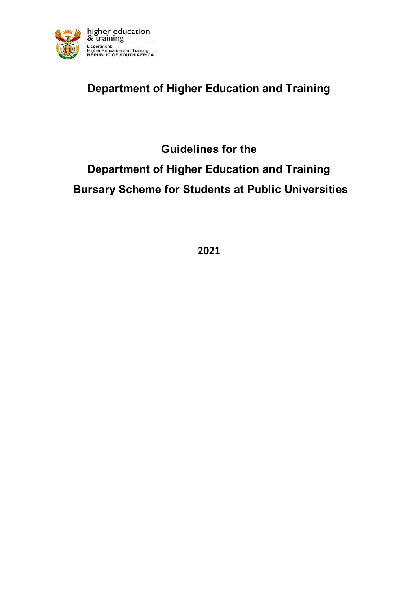

# **Department of Higher Education and Training**

# **Guidelines for the**

# **Department of Higher Education and Training Bursary Scheme for Students at Public Universities**

**2021**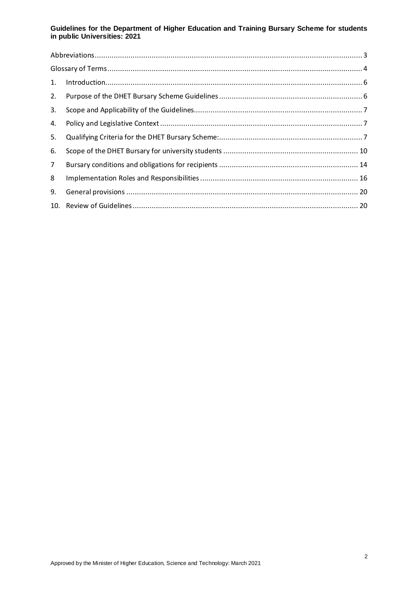| 1.             | $\label{eq:interoduction} \begin{minipage}{0.9\textwidth} \centering \begin{minipage}{0.9\textwidth} \centering \end{minipage} \begin{minipage}{0.9\textwidth} \centering \begin{minipage}{0.9\textwidth} \centering \end{minipage} \begin{minipage}{0.9\textwidth} \centering \end{minipage} \begin{minipage}{0.9\textwidth} \centering \begin{minipage}{0.9\textwidth} \centering \end{minipage} \begin{minipage}{0.9\textwidth} \centering \end{minipage} \begin{minipage}{0.9\textwidth} \centering \end{minipage} \begin{minipage}{0.9\textwidth} \center$ |  |  |  |  |
|----------------|-----------------------------------------------------------------------------------------------------------------------------------------------------------------------------------------------------------------------------------------------------------------------------------------------------------------------------------------------------------------------------------------------------------------------------------------------------------------------------------------------------------------------------------------------------------------|--|--|--|--|
| 2.             |                                                                                                                                                                                                                                                                                                                                                                                                                                                                                                                                                                 |  |  |  |  |
| 3.             |                                                                                                                                                                                                                                                                                                                                                                                                                                                                                                                                                                 |  |  |  |  |
| 4.             |                                                                                                                                                                                                                                                                                                                                                                                                                                                                                                                                                                 |  |  |  |  |
| 5.             |                                                                                                                                                                                                                                                                                                                                                                                                                                                                                                                                                                 |  |  |  |  |
| 6.             |                                                                                                                                                                                                                                                                                                                                                                                                                                                                                                                                                                 |  |  |  |  |
| 7 <sup>7</sup> |                                                                                                                                                                                                                                                                                                                                                                                                                                                                                                                                                                 |  |  |  |  |
| 8              |                                                                                                                                                                                                                                                                                                                                                                                                                                                                                                                                                                 |  |  |  |  |
| 9.             |                                                                                                                                                                                                                                                                                                                                                                                                                                                                                                                                                                 |  |  |  |  |
|                |                                                                                                                                                                                                                                                                                                                                                                                                                                                                                                                                                                 |  |  |  |  |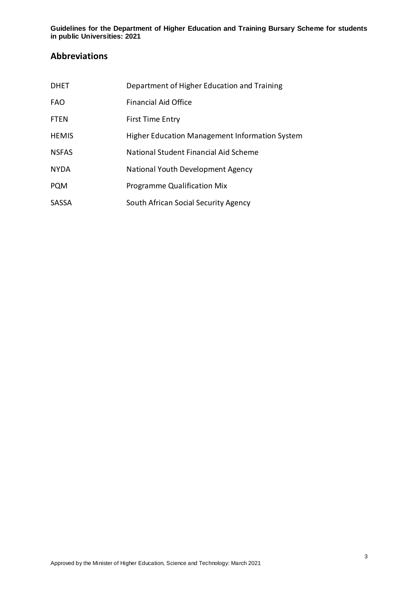## <span id="page-2-0"></span>**Abbreviations**

| <b>DHET</b>  | Department of Higher Education and Training    |
|--------------|------------------------------------------------|
| <b>FAO</b>   | <b>Financial Aid Office</b>                    |
| <b>FTEN</b>  | First Time Entry                               |
| <b>HEMIS</b> | Higher Education Management Information System |
| <b>NSFAS</b> | National Student Financial Aid Scheme          |
| <b>NYDA</b>  | National Youth Development Agency              |
| <b>PQM</b>   | <b>Programme Qualification Mix</b>             |
| <b>SASSA</b> | South African Social Security Agency           |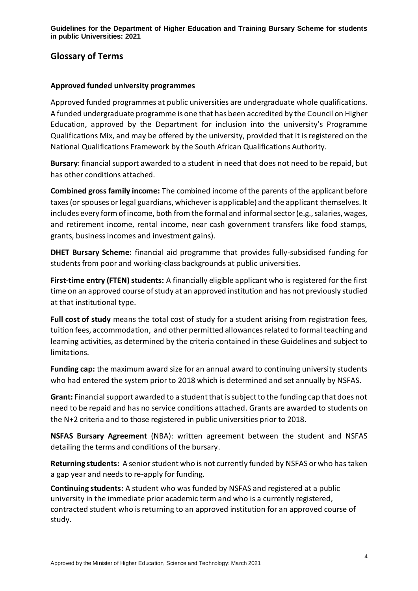## <span id="page-3-0"></span>**Glossary of Terms**

#### **Approved funded university programmes**

Approved funded programmes at public universities are undergraduate whole qualifications. A funded undergraduate programme is one that has been accredited by the Council on Higher Education, approved by the Department for inclusion into the university's Programme Qualifications Mix, and may be offered by the university, provided that it is registered on the National Qualifications Framework by the South African Qualifications Authority.

**Bursary**: financial support awarded to a student in need that does not need to be repaid, but has other conditions attached.

**Combined gross family income:** The combined income of the parents of the applicant before taxes (or spouses or legal guardians, whichever is applicable) and the applicant themselves. It includes every form of income, both from the formal and informal sector (e.g., salaries, wages, and retirement income, rental income, near cash government transfers like food stamps, grants, business incomes and investment gains).

**DHET Bursary Scheme:** financial aid programme that provides fully-subsidised funding for students from poor and working-class backgrounds at public universities.

**First-time entry (FTEN) students:** A financially eligible applicant who is registered for the first time on an approved course of study at an approved institution and has not previously studied at that institutional type.

**Full cost of study** means the total cost of study for a student arising from registration fees, tuition fees, accommodation, and other permitted allowances related to formal teaching and learning activities, as determined by the criteria contained in these Guidelines and subject to limitations.

**Funding cap:** the maximum award size for an annual award to continuing university students who had entered the system prior to 2018 which is determined and set annually by NSFAS.

**Grant:** Financial support awarded to a student that is subject to the funding cap that does not need to be repaid and has no service conditions attached. Grants are awarded to students on the N+2 criteria and to those registered in public universities prior to 2018.

**NSFAS Bursary Agreement** (NBA): written agreement between the student and NSFAS detailing the terms and conditions of the bursary.

**Returning students:** A senior student who is not currently funded by NSFAS or who has taken a gap year and needs to re-apply for funding.

**Continuing students:** A student who was funded by NSFAS and registered at a public university in the immediate prior academic term and who is a currently registered, contracted student who is returning to an approved institution for an approved course of study.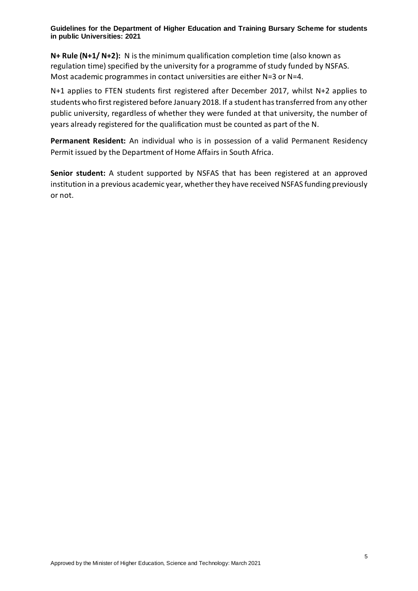**N+ Rule (N+1/ N+2):** N is the minimum qualification completion time (also known as regulation time) specified by the university for a programme of study funded by NSFAS. Most academic programmes in contact universities are either N=3 or N=4.

N+1 applies to FTEN students first registered after December 2017, whilst N+2 applies to students who first registered before January 2018. If a student has transferred from any other public university, regardless of whether they were funded at that university, the number of years already registered for the qualification must be counted as part of the N.

**Permanent Resident:** An individual who is in possession of a valid Permanent Residency Permit issued by the Department of Home Affairs in South Africa.

**Senior student:** A student supported by NSFAS that has been registered at an approved institution in a previous academic year, whether they have received NSFAS funding previously or not.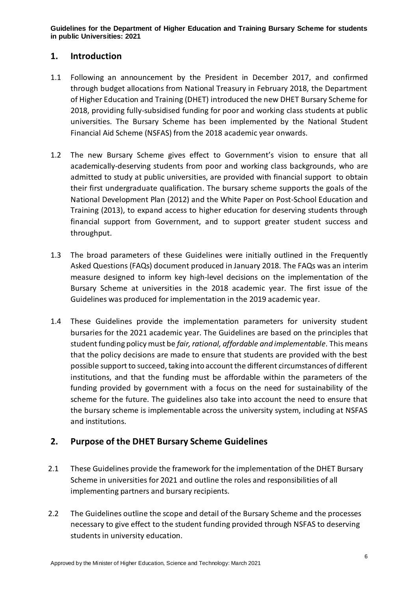## <span id="page-5-0"></span>**1. Introduction**

- 1.1 Following an announcement by the President in December 2017, and confirmed through budget allocations from National Treasury in February 2018, the Department of Higher Education and Training (DHET) introduced the new DHET Bursary Scheme for 2018, providing fully-subsidised funding for poor and working class students at public universities. The Bursary Scheme has been implemented by the National Student Financial Aid Scheme (NSFAS) from the 2018 academic year onwards.
- 1.2 The new Bursary Scheme gives effect to Government's vision to ensure that all academically-deserving students from poor and working class backgrounds, who are admitted to study at public universities, are provided with financial support to obtain their first undergraduate qualification. The bursary scheme supports the goals of the National Development Plan (2012) and the White Paper on Post-School Education and Training (2013), to expand access to higher education for deserving students through financial support from Government, and to support greater student success and throughput.
- 1.3 The broad parameters of these Guidelines were initially outlined in the Frequently Asked Questions (FAQs) document produced in January 2018. The FAQs was an interim measure designed to inform key high-level decisions on the implementation of the Bursary Scheme at universities in the 2018 academic year. The first issue of the Guidelines was produced for implementation in the 2019 academic year.
- 1.4 These Guidelines provide the implementation parameters for university student bursaries for the 2021 academic year. The Guidelines are based on the principles that student funding policy must be *fair, rational, affordable and implementable*. This means that the policy decisions are made to ensure that students are provided with the best possible support to succeed, taking into account the different circumstances of different institutions, and that the funding must be affordable within the parameters of the funding provided by government with a focus on the need for sustainability of the scheme for the future. The guidelines also take into account the need to ensure that the bursary scheme is implementable across the university system, including at NSFAS and institutions.

## <span id="page-5-1"></span>**2. Purpose of the DHET Bursary Scheme Guidelines**

- 2.1 These Guidelines provide the framework for the implementation of the DHET Bursary Scheme in universities for 2021 and outline the roles and responsibilities of all implementing partners and bursary recipients.
- 2.2 The Guidelines outline the scope and detail of the Bursary Scheme and the processes necessary to give effect to the student funding provided through NSFAS to deserving students in university education.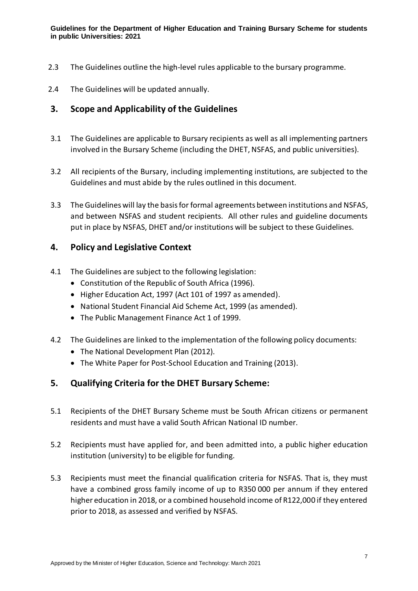- 2.3 The Guidelines outline the high-level rules applicable to the bursary programme.
- 2.4 The Guidelines will be updated annually.

## <span id="page-6-0"></span>**3. Scope and Applicability of the Guidelines**

- 3.1 The Guidelines are applicable to Bursary recipients as well as all implementing partners involved in the Bursary Scheme (including the DHET, NSFAS, and public universities).
- 3.2 All recipients of the Bursary, including implementing institutions, are subjected to the Guidelines and must abide by the rules outlined in this document.
- 3.3 The Guidelines will lay the basis for formal agreements between institutions and NSFAS, and between NSFAS and student recipients. All other rules and guideline documents put in place by NSFAS, DHET and/or institutions will be subject to these Guidelines.

## <span id="page-6-1"></span>**4. Policy and Legislative Context**

- 4.1 The Guidelines are subject to the following legislation:
	- Constitution of the Republic of South Africa (1996).
	- Higher Education Act, 1997 (Act 101 of 1997 as amended).
	- National Student Financial Aid Scheme Act, 1999 (as amended).
	- The Public Management Finance Act 1 of 1999.
- 4.2 The Guidelines are linked to the implementation of the following policy documents:
	- The National Development Plan (2012).
	- The White Paper for Post-School Education and Training (2013).

## <span id="page-6-2"></span>**5. Qualifying Criteria for the DHET Bursary Scheme:**

- 5.1 Recipients of the DHET Bursary Scheme must be South African citizens or permanent residents and must have a valid South African National ID number.
- 5.2 Recipients must have applied for, and been admitted into, a public higher education institution (university) to be eligible for funding.
- 5.3 Recipients must meet the financial qualification criteria for NSFAS. That is, they must have a combined gross family income of up to R350 000 per annum if they entered higher education in 2018, or a combined household income of R122,000 if they entered prior to 2018, as assessed and verified by NSFAS.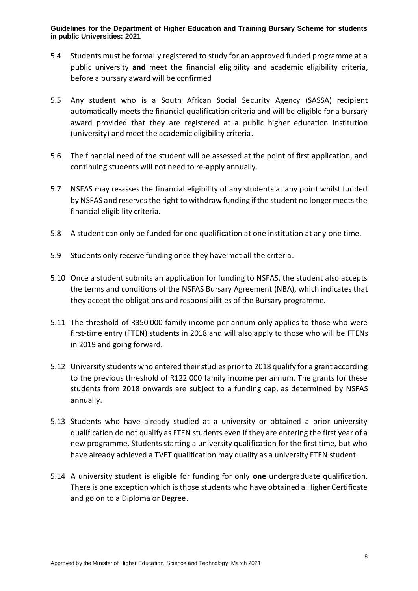- 5.4 Students must be formally registered to study for an approved funded programme at a public university **and** meet the financial eligibility and academic eligibility criteria, before a bursary award will be confirmed
- 5.5 Any student who is a South African Social Security Agency (SASSA) recipient automatically meets the financial qualification criteria and will be eligible for a bursary award provided that they are registered at a public higher education institution (university) and meet the academic eligibility criteria.
- 5.6 The financial need of the student will be assessed at the point of first application, and continuing students will not need to re-apply annually.
- 5.7 NSFAS may re-asses the financial eligibility of any students at any point whilst funded by NSFAS and reserves the right to withdraw funding if the student no longer meets the financial eligibility criteria.
- 5.8 A student can only be funded for one qualification at one institution at any one time.
- 5.9 Students only receive funding once they have met all the criteria.
- 5.10 Once a student submits an application for funding to NSFAS, the student also accepts the terms and conditions of the NSFAS Bursary Agreement (NBA), which indicates that they accept the obligations and responsibilities of the Bursary programme.
- 5.11 The threshold of R350 000 family income per annum only applies to those who were first-time entry (FTEN) students in 2018 and will also apply to those who will be FTENs in 2019 and going forward.
- 5.12 University students who entered their studies prior to 2018 qualify for a grant according to the previous threshold of R122 000 family income per annum. The grants for these students from 2018 onwards are subject to a funding cap, as determined by NSFAS annually.
- 5.13 Students who have already studied at a university or obtained a prior university qualification do not qualify as FTEN students even if they are entering the first year of a new programme. Students starting a university qualification for the first time, but who have already achieved a TVET qualification may qualify as a university FTEN student.
- 5.14 A university student is eligible for funding for only **one** undergraduate qualification. There is one exception which is those students who have obtained a Higher Certificate and go on to a Diploma or Degree.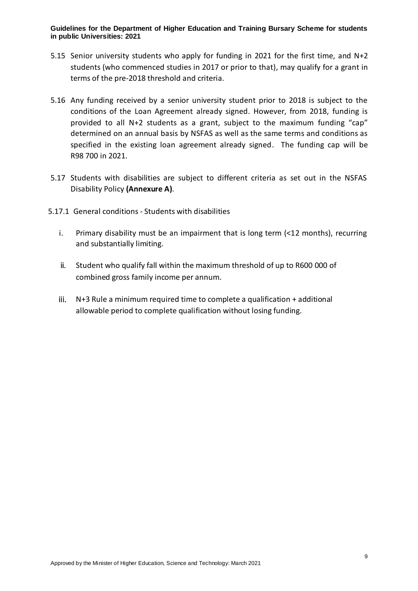- 5.15 Senior university students who apply for funding in 2021 for the first time, and N+2 students (who commenced studies in 2017 or prior to that), may qualify for a grant in terms of the pre-2018 threshold and criteria.
- 5.16 Any funding received by a senior university student prior to 2018 is subject to the conditions of the Loan Agreement already signed. However, from 2018, funding is provided to all N+2 students as a grant, subject to the maximum funding "cap" determined on an annual basis by NSFAS as well as the same terms and conditions as specified in the existing loan agreement already signed. The funding cap will be R98 700 in 2021.
- 5.17 Students with disabilities are subject to different criteria as set out in the NSFAS Disability Policy **(Annexure A)**.
- 5.17.1 General conditions Students with disabilities
	- i. Primary disability must be an impairment that is long term (<12 months), recurring and substantially limiting.
	- ii. Student who qualify fall within the maximum threshold of up to R600 000 of combined gross family income per annum.
	- iii. N+3 Rule a minimum required time to complete a qualification + additional allowable period to complete qualification without losing funding.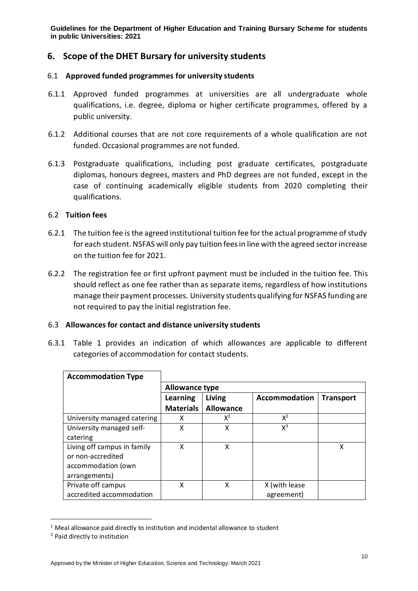## <span id="page-9-0"></span>**6. Scope of the DHET Bursary for university students**

#### 6.1 **Approved funded programmes for university students**

- 6.1.1 Approved funded programmes at universities are all undergraduate whole qualifications, i.e. degree, diploma or higher certificate programmes, offered by a public university.
- 6.1.2 Additional courses that are not core requirements of a whole qualification are not funded. Occasional programmes are not funded.
- 6.1.3 Postgraduate qualifications, including post graduate certificates, postgraduate diplomas, honours degrees, masters and PhD degrees are not funded, except in the case of continuing academically eligible students from 2020 completing their qualifications.

#### 6.2 **Tuition fees**

- 6.2.1 The tuition fee is the agreed institutional tuition fee for the actual programme of study for each student. NSFAS will only pay tuition fees in line with the agreed sector increase on the tuition fee for 2021.
- 6.2.2 The registration fee or first upfront payment must be included in the tuition fee. This should reflect as one fee rather than as separate items, regardless of how institutions manage their payment processes. University students qualifying for NSFAS funding are not required to pay the initial registration fee.

#### 6.3 **Allowances for contact and distance university students**

6.3.1 Table 1 provides an indication of which allowances are applicable to different categories of accommodation for contact students.

| <b>Accommodation Type</b>   |                       |                  |                      |                  |  |  |
|-----------------------------|-----------------------|------------------|----------------------|------------------|--|--|
|                             | <b>Allowance type</b> |                  |                      |                  |  |  |
|                             | Learning              | Living           | <b>Accommodation</b> | <b>Transport</b> |  |  |
|                             | <b>Materials</b>      | <b>Allowance</b> |                      |                  |  |  |
| University managed catering | x                     | $X^1$            | $X^2$                |                  |  |  |
| University managed self-    | x                     | χ                | $X^3$                |                  |  |  |
| catering                    |                       |                  |                      |                  |  |  |
| Living off campus in family | X                     | χ                |                      | x                |  |  |
| or non-accredited           |                       |                  |                      |                  |  |  |
| accommodation (own          |                       |                  |                      |                  |  |  |
| arrangements)               |                       |                  |                      |                  |  |  |
| Private off campus          | x                     | X                | X (with lease        |                  |  |  |
| accredited accommodation    |                       |                  | agreement)           |                  |  |  |

 $1$  Meal allowance paid directly to institution and incidental allowance to student

-

<sup>2</sup> Paid directly to institution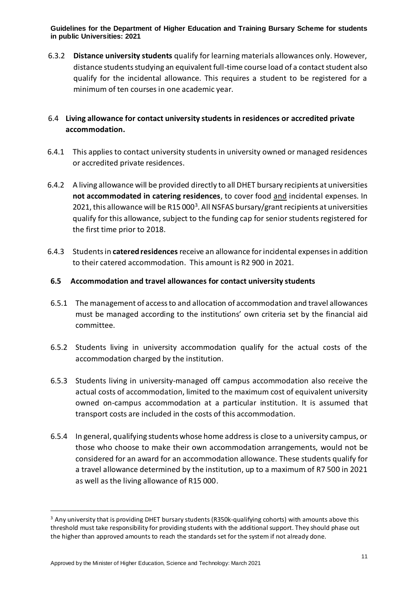6.3.2 **Distance university students** qualify for learning materials allowances only. However, distance students studying an equivalent full-time course load of a contact student also qualify for the incidental allowance. This requires a student to be registered for a minimum of ten courses in one academic year.

## 6.4 **Living allowance for contact university students in residences or accredited private accommodation.**

- 6.4.1 This applies to contact university students in university owned or managed residences or accredited private residences.
- 6.4.2 A living allowance will be provided directly to all DHET bursary recipients at universities **not accommodated in catering residences**, to cover food and incidental expenses. In 2021, this allowance will be R15 000<sup>3</sup>. All NSFAS bursary/grant recipients at universities qualify for this allowance, subject to the funding cap for senior studentsregistered for the first time prior to 2018.
- 6.4.3 Students in **catered residences**receive an allowance forincidental expensesin addition to their catered accommodation. This amount is R2 900 in 2021.

## **6.5 Accommodation and travel allowances for contact university students**

- 6.5.1 The management of access to and allocation of accommodation and travel allowances must be managed according to the institutions' own criteria set by the financial aid committee.
- 6.5.2 Students living in university accommodation qualify for the actual costs of the accommodation charged by the institution.
- 6.5.3 Students living in university-managed off campus accommodation also receive the actual costs of accommodation, limited to the maximum cost of equivalent university owned on-campus accommodation at a particular institution. It is assumed that transport costs are included in the costs of this accommodation.
- 6.5.4 In general, qualifying students whose home address is close to a university campus, or those who choose to make their own accommodation arrangements, would not be considered for an award for an accommodation allowance. These students qualify for a travel allowance determined by the institution, up to a maximum of R7 500 in 2021 as well as the living allowance of R15 000.

-

<sup>&</sup>lt;sup>3</sup> Any university that is providing DHET bursary students (R350k-qualifying cohorts) with amounts above this threshold must take responsibility for providing students with the additional support. They should phase out the higher than approved amounts to reach the standards set for the system if not already done.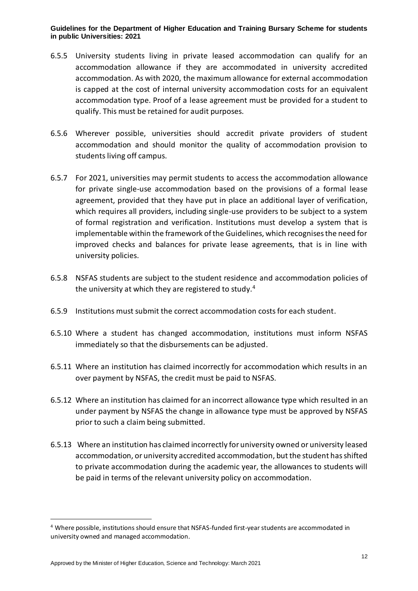- 6.5.5 University students living in private leased accommodation can qualify for an accommodation allowance if they are accommodated in university accredited accommodation. As with 2020, the maximum allowance for external accommodation is capped at the cost of internal university accommodation costs for an equivalent accommodation type. Proof of a lease agreement must be provided for a student to qualify. This must be retained for audit purposes.
- 6.5.6 Wherever possible, universities should accredit private providers of student accommodation and should monitor the quality of accommodation provision to students living off campus.
- 6.5.7 For 2021, universities may permit students to access the accommodation allowance for private single-use accommodation based on the provisions of a formal lease agreement, provided that they have put in place an additional layer of verification, which requires all providers, including single-use providers to be subject to a system of formal registration and verification. Institutions must develop a system that is implementable within the framework of the Guidelines, which recognises the need for improved checks and balances for private lease agreements, that is in line with university policies.
- 6.5.8 NSFAS students are subject to the student residence and accommodation policies of the university at which they are registered to study. $4$
- 6.5.9 Institutions must submit the correct accommodation costs for each student.
- 6.5.10 Where a student has changed accommodation, institutions must inform NSFAS immediately so that the disbursements can be adjusted.
- 6.5.11 Where an institution has claimed incorrectly for accommodation which results in an over payment by NSFAS, the credit must be paid to NSFAS.
- 6.5.12 Where an institution has claimed for an incorrect allowance type which resulted in an under payment by NSFAS the change in allowance type must be approved by NSFAS prior to such a claim being submitted.
- 6.5.13 Where an institution has claimed incorrectly for university owned or university leased accommodation, or university accredited accommodation, but the student has shifted to private accommodation during the academic year, the allowances to students will be paid in terms of the relevant university policy on accommodation.

-

<sup>4</sup> Where possible, institutions should ensure that NSFAS-funded first-year students are accommodated in university owned and managed accommodation.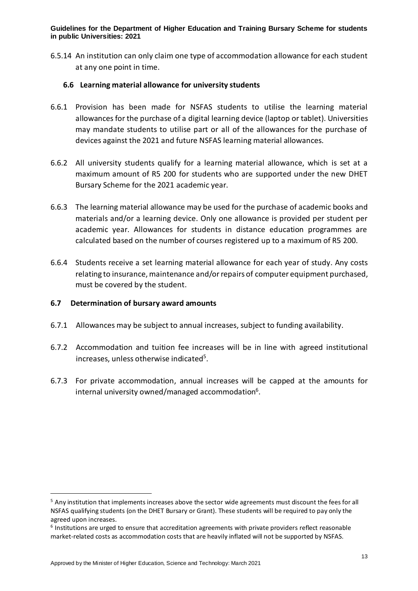6.5.14 An institution can only claim one type of accommodation allowance for each student at any one point in time.

#### **6.6 Learning material allowance for university students**

- 6.6.1 Provision has been made for NSFAS students to utilise the learning material allowances for the purchase of a digital learning device (laptop or tablet). Universities may mandate students to utilise part or all of the allowances for the purchase of devices against the 2021 and future NSFAS learning material allowances.
- 6.6.2 All university students qualify for a learning material allowance, which is set at a maximum amount of R5 200 for students who are supported under the new DHET Bursary Scheme for the 2021 academic year.
- 6.6.3 The learning material allowance may be used for the purchase of academic books and materials and/or a learning device. Only one allowance is provided per student per academic year. Allowances for students in distance education programmes are calculated based on the number of courses registered up to a maximum of R5 200.
- 6.6.4 Students receive a set learning material allowance for each year of study. Any costs relating to insurance, maintenance and/or repairs of computer equipment purchased, must be covered by the student.

## **6.7 Determination of bursary award amounts**

- 6.7.1 Allowances may be subject to annual increases, subject to funding availability.
- 6.7.2 Accommodation and tuition fee increases will be in line with agreed institutional increases, unless otherwise indicated<sup>5</sup>.
- 6.7.3 For private accommodation, annual increases will be capped at the amounts for internal university owned/managed accommodation<sup>6</sup>.

1

<sup>&</sup>lt;sup>5</sup> Any institution that implements increases above the sector wide agreements must discount the fees for all NSFAS qualifying students (on the DHET Bursary or Grant). These students will be required to pay only the agreed upon increases.

<sup>&</sup>lt;sup>6</sup> Institutions are urged to ensure that accreditation agreements with private providers reflect reasonable market-related costs as accommodation costs that are heavily inflated will not be supported by NSFAS.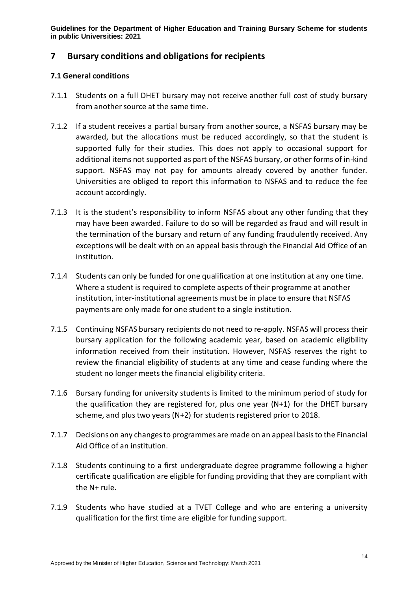## <span id="page-13-0"></span>**7 Bursary conditions and obligations for recipients**

#### **7.1 General conditions**

- 7.1.1 Students on a full DHET bursary may not receive another full cost of study bursary from another source at the same time.
- 7.1.2 If a student receives a partial bursary from another source, a NSFAS bursary may be awarded, but the allocations must be reduced accordingly, so that the student is supported fully for their studies. This does not apply to occasional support for additional items not supported as part of the NSFAS bursary, or other forms of in-kind support. NSFAS may not pay for amounts already covered by another funder. Universities are obliged to report this information to NSFAS and to reduce the fee account accordingly.
- 7.1.3 It is the student's responsibility to inform NSFAS about any other funding that they may have been awarded. Failure to do so will be regarded as fraud and will result in the termination of the bursary and return of any funding fraudulently received. Any exceptions will be dealt with on an appeal basis through the Financial Aid Office of an institution.
- 7.1.4 Students can only be funded for one qualification at one institution at any one time. Where a student is required to complete aspects of their programme at another institution, inter-institutional agreements must be in place to ensure that NSFAS payments are only made for one student to a single institution.
- 7.1.5 Continuing NSFAS bursary recipients do not need to re-apply. NSFAS will process their bursary application for the following academic year, based on academic eligibility information received from their institution. However, NSFAS reserves the right to review the financial eligibility of students at any time and cease funding where the student no longer meets the financial eligibility criteria.
- 7.1.6 Bursary funding for university students is limited to the minimum period of study for the qualification they are registered for, plus one year (N+1) for the DHET bursary scheme, and plus two years (N+2) for students registered prior to 2018.
- 7.1.7 Decisions on any changes to programmes are made on an appeal basis to the Financial Aid Office of an institution.
- 7.1.8 Students continuing to a first undergraduate degree programme following a higher certificate qualification are eligible for funding providing that they are compliant with the N+ rule.
- 7.1.9 Students who have studied at a TVET College and who are entering a university qualification for the first time are eligible for funding support.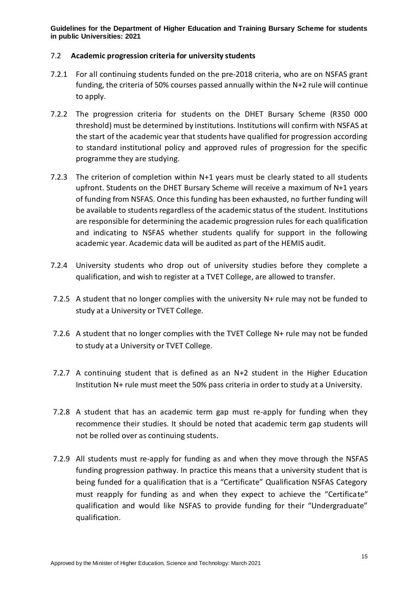#### 7.2 **Academic progression criteria for university students**

- 7.2.1 For all continuing students funded on the pre-2018 criteria, who are on NSFAS grant funding, the criteria of 50% courses passed annually within the N+2 rule will continue to apply.
- 7.2.2 The progression criteria for students on the DHET Bursary Scheme (R350 000 threshold) must be determined by institutions. Institutions will confirm with NSFAS at the start of the academic year that students have qualified for progression according to standard institutional policy and approved rules of progression for the specific programme they are studying.
- 7.2.3 The criterion of completion within N+1 years must be clearly stated to all students upfront. Students on the DHET Bursary Scheme will receive a maximum of N+1 years of funding from NSFAS. Once this funding has been exhausted, no further funding will be available to students regardless of the academic status of the student. Institutions are responsible for determining the academic progression rules for each qualification and indicating to NSFAS whether students qualify for support in the following academic year. Academic data will be audited as part of the HEMIS audit.
- 7.2.4 University students who drop out of university studies before they complete a qualification, and wish to register at a TVET College, are allowed to transfer.
- 7.2.5 A student that no longer complies with the university N+ rule may not be funded to study at a University or TVET College.
- 7.2.6 A student that no longer complies with the TVET College N+ rule may not be funded to study at a University or TVET College.
- 7.2.7 A continuing student that is defined as an N+2 student in the Higher Education Institution N+ rule must meet the 50% pass criteria in order to study at a University.
- 7.2.8 A student that has an academic term gap must re-apply for funding when they recommence their studies. It should be noted that academic term gap students will not be rolled over as continuing students.
- 7.2.9 All students must re-apply for funding as and when they move through the NSFAS funding progression pathway. In practice this means that a university student that is being funded for a qualification that is a "Certificate" Qualification NSFAS Category must reapply for funding as and when they expect to achieve the "Certificate" qualification and would like NSFAS to provide funding for their "Undergraduate" qualification.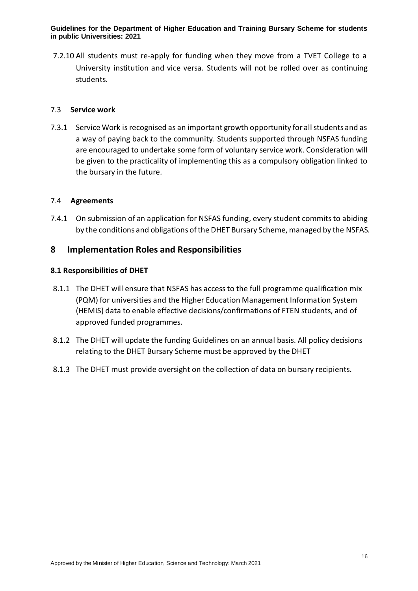7.2.10 All students must re-apply for funding when they move from a TVET College to a University institution and vice versa. Students will not be rolled over as continuing students.

#### 7.3 **Service work**

7.3.1 Service Work is recognised as an important growth opportunity for all students and as a way of paying back to the community. Students supported through NSFAS funding are encouraged to undertake some form of voluntary service work. Consideration will be given to the practicality of implementing this as a compulsory obligation linked to the bursary in the future.

#### 7.4 **Agreements**

7.4.1 On submission of an application for NSFAS funding, every student commits to abiding by the conditions and obligations of the DHET Bursary Scheme, managed by the NSFAS.

## <span id="page-15-0"></span>**8 Implementation Roles and Responsibilities**

#### **8.1 Responsibilities of DHET**

- 8.1.1 The DHET will ensure that NSFAS has access to the full programme qualification mix (PQM) for universities and the Higher Education Management Information System (HEMIS) data to enable effective decisions/confirmations of FTEN students, and of approved funded programmes.
- 8.1.2 The DHET will update the funding Guidelines on an annual basis. All policy decisions relating to the DHET Bursary Scheme must be approved by the DHET
- 8.1.3 The DHET must provide oversight on the collection of data on bursary recipients.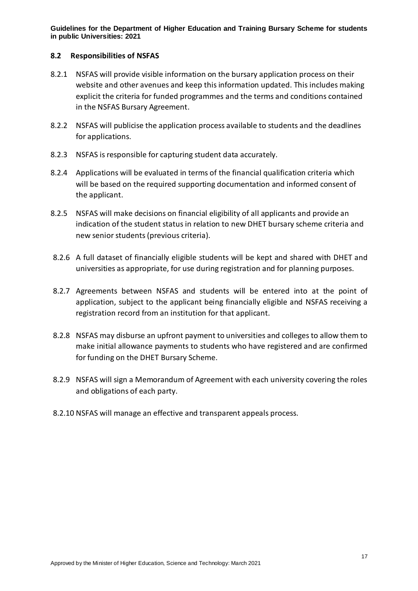#### **8.2 Responsibilities of NSFAS**

- 8.2.1 NSFAS will provide visible information on the bursary application process on their website and other avenues and keep this information updated. This includes making explicit the criteria for funded programmes and the terms and conditions contained in the NSFAS Bursary Agreement.
- 8.2.2 NSFAS will publicise the application process available to students and the deadlines for applications.
- 8.2.3 NSFAS is responsible for capturing student data accurately.
- 8.2.4 Applications will be evaluated in terms of the financial qualification criteria which will be based on the required supporting documentation and informed consent of the applicant.
- 8.2.5 NSFAS will make decisions on financial eligibility of all applicants and provide an indication of the student status in relation to new DHET bursary scheme criteria and new senior students (previous criteria).
- 8.2.6 A full dataset of financially eligible students will be kept and shared with DHET and universities as appropriate, for use during registration and for planning purposes.
- 8.2.7 Agreements between NSFAS and students will be entered into at the point of application, subject to the applicant being financially eligible and NSFAS receiving a registration record from an institution for that applicant.
- 8.2.8 NSFAS may disburse an upfront payment to universities and colleges to allow them to make initial allowance payments to students who have registered and are confirmed for funding on the DHET Bursary Scheme.
- 8.2.9 NSFAS will sign a Memorandum of Agreement with each university covering the roles and obligations of each party.
- 8.2.10 NSFAS will manage an effective and transparent appeals process.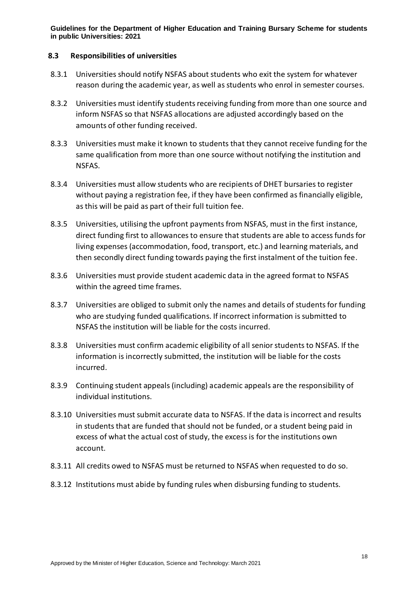#### **8.3 Responsibilities of universities**

- 8.3.1 Universities should notify NSFAS about students who exit the system for whatever reason during the academic year, as well as students who enrol in semester courses.
- 8.3.2 Universities must identify students receiving funding from more than one source and inform NSFAS so that NSFAS allocations are adjusted accordingly based on the amounts of other funding received.
- 8.3.3 Universities must make it known to students that they cannot receive funding for the same qualification from more than one source without notifying the institution and NSFAS.
- 8.3.4 Universities must allow students who are recipients of DHET bursaries to register without paying a registration fee, if they have been confirmed as financially eligible, as this will be paid as part of their full tuition fee.
- 8.3.5 Universities, utilising the upfront payments from NSFAS, must in the first instance, direct funding first to allowances to ensure that students are able to access funds for living expenses (accommodation, food, transport, etc.) and learning materials, and then secondly direct funding towards paying the first instalment of the tuition fee.
- 8.3.6 Universities must provide student academic data in the agreed format to NSFAS within the agreed time frames.
- 8.3.7 Universities are obliged to submit only the names and details of students for funding who are studying funded qualifications. If incorrect information is submitted to NSFAS the institution will be liable for the costs incurred.
- 8.3.8 Universities must confirm academic eligibility of all senior students to NSFAS. If the information is incorrectly submitted, the institution will be liable for the costs incurred.
- 8.3.9 Continuing student appeals (including) academic appeals are the responsibility of individual institutions.
- 8.3.10 Universities must submit accurate data to NSFAS. If the data is incorrect and results in students that are funded that should not be funded, or a student being paid in excess of what the actual cost of study, the excess is for the institutions own account.
- 8.3.11 All credits owed to NSFAS must be returned to NSFAS when requested to do so.
- 8.3.12 Institutions must abide by funding rules when disbursing funding to students.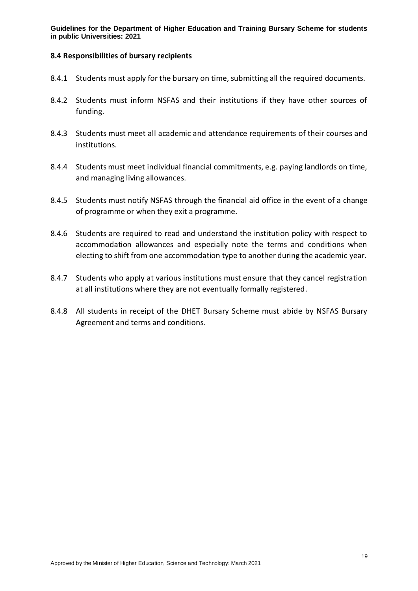#### **8.4 Responsibilities of bursary recipients**

- 8.4.1 Students must apply for the bursary on time, submitting all the required documents.
- 8.4.2 Students must inform NSFAS and their institutions if they have other sources of funding.
- 8.4.3 Students must meet all academic and attendance requirements of their courses and institutions.
- 8.4.4 Students must meet individual financial commitments, e.g. paying landlords on time, and managing living allowances.
- 8.4.5 Students must notify NSFAS through the financial aid office in the event of a change of programme or when they exit a programme.
- 8.4.6 Students are required to read and understand the institution policy with respect to accommodation allowances and especially note the terms and conditions when electing to shift from one accommodation type to another during the academic year.
- 8.4.7 Students who apply at various institutions must ensure that they cancel registration at all institutions where they are not eventually formally registered.
- 8.4.8 All students in receipt of the DHET Bursary Scheme must abide by NSFAS Bursary Agreement and terms and conditions.